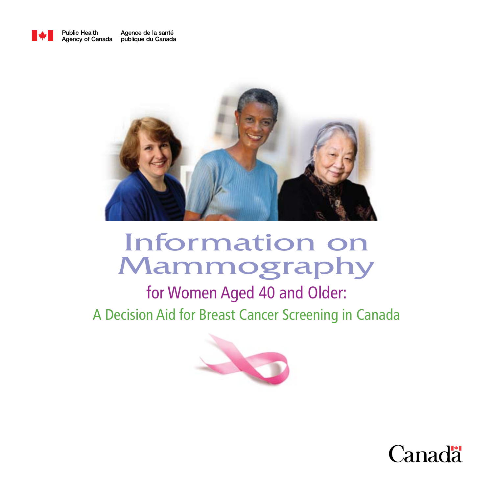



# Information on Mammography

for Women Aged 40 and Older: A Decision Aid for Breast Cancer Screening in Canada



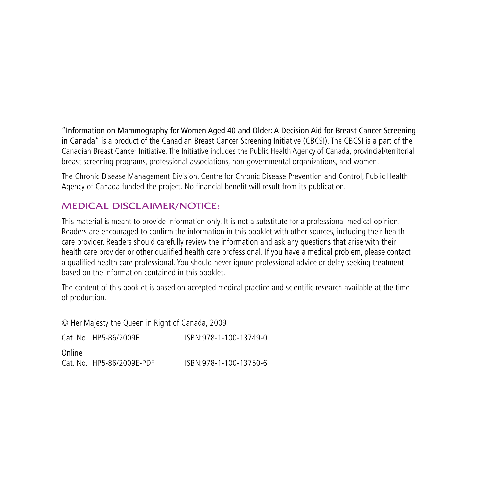"Information on Mammography for Women Aged 40 and Older: A Decision Aid for Breast Cancer Screening in Canada" is a product of the Canadian Breast Cancer Screening Initiative (CBCSI). The CBCSI is a part of the Canadian Breast Cancer Initiative. The Initiative includes the Public Health Agency of Canada, provincial/territorial breast screening programs, professional associations, non-governmental organizations, and women.

The Chronic Disease Management Division, Centre for Chronic Disease Prevention and Control, Public Health Agency of Canada funded the project. No financial benefit will result from its publication.

#### Medical Disclaimer/Notice:

This material is meant to provide information only. It is not a substitute for a professional medical opinion. Readers are encouraged to confirm the information in this booklet with other sources, including their health care provider. Readers should carefully review the information and ask any questions that arise with their health care provider or other qualified health care professional. If you have a medical problem, please contact a qualified health care professional. You should never ignore professional advice or delay seeking treatment based on the information contained in this booklet.

The content of this booklet is based on accepted medical practice and scientific research available at the time of production.

© Her Majesty the Queen in Right of Canada, 2009

|        | Cat. No. HP5-86/2009E     | ISBN:978-1-100-13749-0 |
|--------|---------------------------|------------------------|
| Online |                           |                        |
|        | Cat. No. HP5-86/2009E-PDF | ISBN:978-1-100-13750-6 |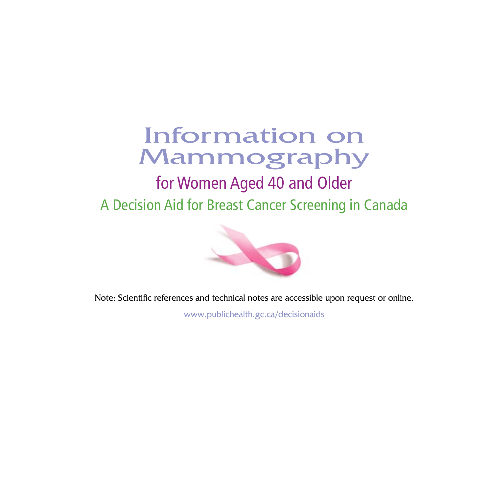# Information on Mammography

## for Women Aged 40 and Older A Decision Aid for Breast Cancer Screening in Canada



Note: Scientific references and technical notes are accessible upon request or online.

www.publichealth.gc.ca/decisionaids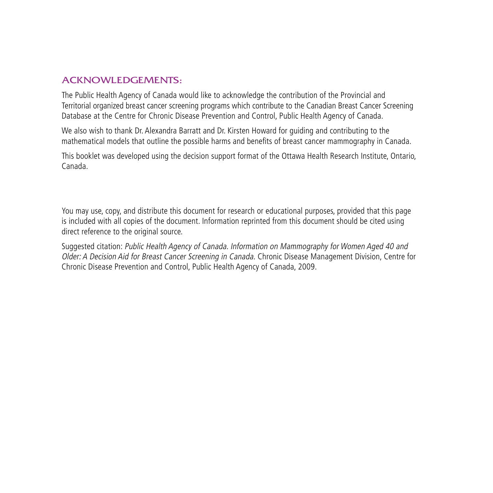#### Acknowledgements:

The Public Health Agency of Canada would like to acknowledge the contribution of the Provincial and Territorial organized breast cancer screening programs which contribute to the Canadian Breast Cancer Screening Database at the Centre for Chronic Disease Prevention and Control, Public Health Agency of Canada.

We also wish to thank Dr. Alexandra Barratt and Dr. Kirsten Howard for guiding and contributing to the mathematical models that outline the possible harms and benefits of breast cancer mammography in Canada.

This booklet was developed using the decision support format of the Ottawa Health Research Institute, Ontario, Canada.

You may use, copy, and distribute this document for research or educational purposes, provided that this page is included with all copies of the document. Information reprinted from this document should be cited using direct reference to the original source.

Suggested citation: Public Health Agency of Canada. Information on Mammography for Women Aged 40 and Older: A Decision Aid for Breast Cancer Screening in Canada. Chronic Disease Management Division, Centre for Chronic Disease Prevention and Control, Public Health Agency of Canada, 2009.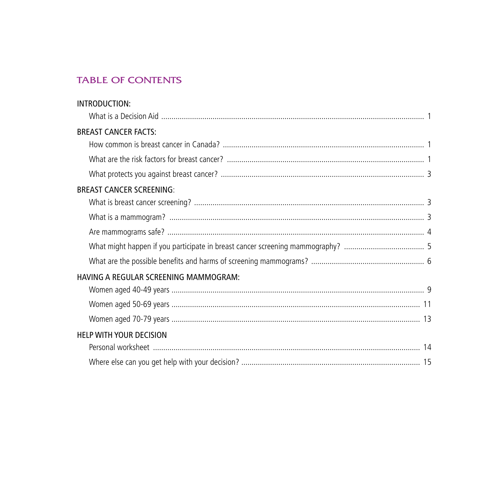#### **TABLE OF CONTENTS**

| INTRODUCTION:                         |  |
|---------------------------------------|--|
|                                       |  |
| <b>BREAST CANCER FACTS:</b>           |  |
|                                       |  |
|                                       |  |
|                                       |  |
| <b>BREAST CANCER SCREENING:</b>       |  |
|                                       |  |
|                                       |  |
|                                       |  |
|                                       |  |
|                                       |  |
| HAVING A REGULAR SCREENING MAMMOGRAM: |  |
|                                       |  |
|                                       |  |
|                                       |  |
| <b>HELP WITH YOUR DECISION</b>        |  |
|                                       |  |
|                                       |  |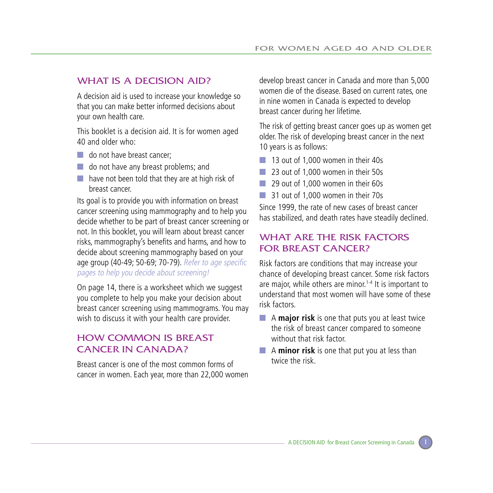#### WHAT IS A DECISION AID?

A decision aid is used to increase your knowledge so that you can make better informed decisions about your own health care.

This booklet is a decision aid. It is for women aged 40 and older who:

- do not have breast cancer:
- do not have any breast problems; and
- have not been told that they are at high risk of breast cancer.

Its goal is to provide you with information on breast cancer screening using mammography and to help you decide whether to be part of breast cancer screening or not. In this booklet, you will learn about breast cancer risks, mammography's benefits and harms, and how to decide about screening mammography based on your age group (40-49; 50-69; 70-79). Refer to age specific pages to help you decide about screening!

On page 14, there is a worksheet which we suggest you complete to help you make your decision about breast cancer screening using mammograms. You may wish to discuss it with your health care provider.

#### How common is breast cancer in Canada?

Breast cancer is one of the most common forms of cancer in women. Each year, more than 22,000 women

develop breast cancer in Canada and more than 5,000 women die of the disease. Based on current rates, one in nine women in Canada is expected to develop breast cancer during her lifetime.

The risk of getting breast cancer goes up as women get older. The risk of developing breast cancer in the next 10 years is as follows:

- 13 out of 1,000 women in their 40s
- 23 out of 1,000 women in their 50s
- 29 out of 1,000 women in their 60s
- 31 out of 1,000 women in their 70s

Since 1999, the rate of new cases of breast cancer has stabilized, and death rates have steadily declined.

#### WHAT ARE THE RISK FACTORS for breast cancer?

Risk factors are conditions that may increase your chance of developing breast cancer. Some risk factors are major, while others are minor.<sup>1-4</sup> It is important to understand that most women will have some of these risk factors.

- A **major risk** is one that puts you at least twice the risk of breast cancer compared to someone without that risk factor.
- A **minor risk** is one that put you at less than twice the risk.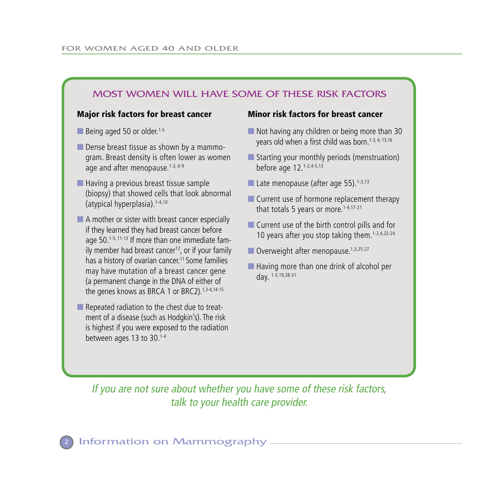#### Most women will have some of these risk factors

#### Major risk factors for breast cancer Minor risk factors for breast cancer

■ Being aged 50 or older.<sup>1-5</sup>

- Dense breast tissue as shown by a mammogram. Breast density is often lower as women age and after menopause.<sup>1-3, 6-9</sup>
- Having a previous breast tissue sample (biopsy) that showed cells that look abnormal (atypical hyperplasia).1-4,10
- A mother or sister with breast cancer especially if they learned they had breast cancer before age 50.1-5, 11-13 If more than one immediate family member had breast cancer<sup>12</sup>, or if your family has a history of ovarian cancer.<sup>11</sup> Some families may have mutation of a breast cancer gene (a permanent change in the DNA of either of the genes knows as BRCA 1 or BRC2).<sup>1,3-4,14-15</sup>
- Repeated radiation to the chest due to treatment of a disease (such as Hodgkin's). The risk is highest if you were exposed to the radiation between ages 13 to 30.1-4

- Not having any children or being more than 30 years old when a first child was born.<sup>1-2, 4, 13,16</sup>
- Starting your monthly periods (menstruation) before age 12.1-2,4-5,13
- Late menopause (after age 55).<sup>1-3,13</sup>
- Current use of hormone replacement therapy that totals 5 years or more.<sup>1-4,17-21</sup>
- Current use of the birth control pills and for 10 years after you stop taking them.<sup>1-2,4,22-24</sup>
- Overweight after menopause.<sup>1,3,25-27</sup>
- Having more than one drink of alcohol per day. 1-3,19,28-31

If you are not sure about whether you have some of these risk factors, talk to your health care provider.

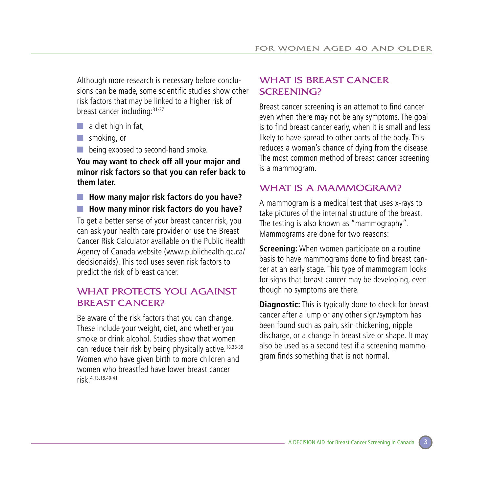Although more research is necessary before conclusions can be made, some scientific studies show other risk factors that may be linked to a higher risk of breast cancer including:31-37

- $\Box$  a diet high in fat,
- smoking, or
- being exposed to second-hand smoke.

**You may want to check off all your major and minor risk factors so that you can refer back to them later.**

■ How many major risk factors do you have? ■ **How many minor risk factors do you have?** To get a better sense of your breast cancer risk, you can ask your health care provider or use the Breast Cancer Risk Calculator available on the Public Health Agency of Canada website (www.publichealth.gc.ca/ decisionaids). This tool uses seven risk factors to predict the risk of breast cancer.

#### WHAT PROTECTS YOU AGAINST **BREAST CANCER?**

Be aware of the risk factors that you can change. These include your weight, diet, and whether you smoke or drink alcohol. Studies show that women can reduce their risk by being physically active.<sup>18,38-39</sup> Women who have given birth to more children and women who breastfed have lower breast cancer risk.4,13,18,40-41

#### WHAT IS BREAST CANCER SCREENING?

Breast cancer screening is an attempt to find cancer even when there may not be any symptoms. The goal is to find breast cancer early, when it is small and less likely to have spread to other parts of the body. This reduces a woman's chance of dying from the disease. The most common method of breast cancer screening is a mammogram.

#### WHAT IS A MAMMOGRAM?

A mammogram is a medical test that uses x-rays to take pictures of the internal structure of the breast. The testing is also known as "mammography". Mammograms are done for two reasons:

**Screening:** When women participate on a routine basis to have mammograms done to find breast cancer at an early stage. This type of mammogram looks for signs that breast cancer may be developing, even though no symptoms are there.

**Diagnostic:** This is typically done to check for breast cancer after a lump or any other sign/symptom has been found such as pain, skin thickening, nipple discharge, or a change in breast size or shape. It may also be used as a second test if a screening mammogram finds something that is not normal.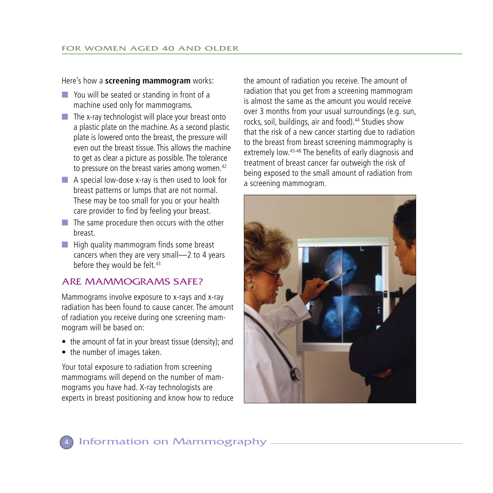#### Here's how a **screening mammogram** works:

- You will be seated or standing in front of a machine used only for mammograms.
- $\blacksquare$  The x-ray technologist will place your breast onto a plastic plate on the machine. As a second plastic plate is lowered onto the breast, the pressure will even out the breast tissue. This allows the machine to get as clear a picture as possible. The tolerance to pressure on the breast varies among women.<sup>42</sup>
- A special low-dose x-ray is then used to look for breast patterns or lumps that are not normal. These may be too small for you or your health care provider to find by feeling your breast.
- The same procedure then occurs with the other breast.
- High quality mammogram finds some breast cancers when they are very small—2 to 4 years before they would be felt.<sup>43</sup>

#### Are mammograms safe?

Mammograms involve exposure to x-rays and x-ray radiation has been found to cause cancer. The amount of radiation you receive during one screening mammogram will be based on:

- the amount of fat in your breast tissue (density); and
- the number of images taken.

Your total exposure to radiation from screening mammograms will depend on the number of mammograms you have had. X-ray technologists are experts in breast positioning and know how to reduce

the amount of radiation you receive. The amount of radiation that you get from a screening mammogram is almost the same as the amount you would receive over 3 months from your usual surroundings (e.g. sun, rocks, soil, buildings, air and food).<sup>44</sup> Studies show that the risk of a new cancer starting due to radiation to the breast from breast screening mammography is extremely low.<sup>45-48</sup> The benefits of early diagnosis and treatment of breast cancer far outweigh the risk of being exposed to the small amount of radiation from a screening mammogram.



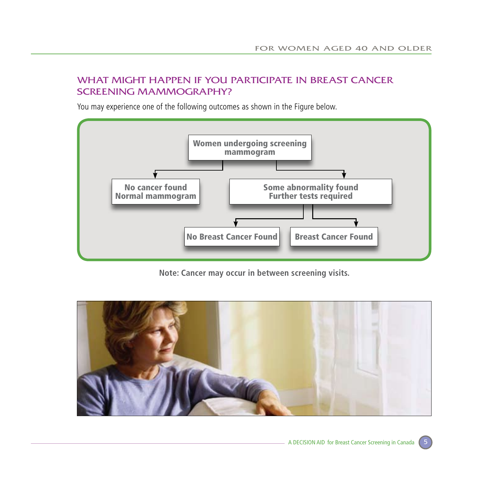#### What might happen if you participate in breast cancer screening mammography?

You may experience one of the following outcomes as shown in the Figure below.



**Note: Cancer may occur in between screening visits.**

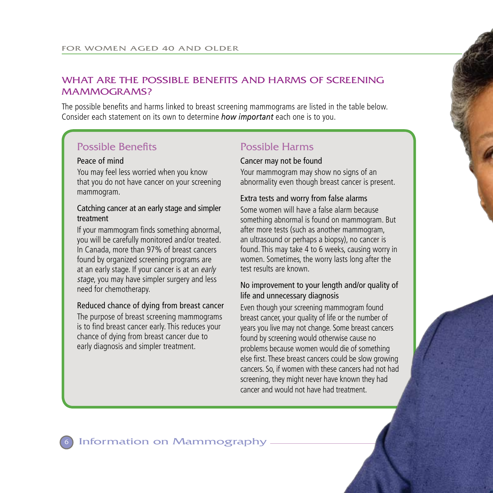#### WHAT ARE THE POSSIBLE BENEFITS AND HARMS OF SCREENING mammograms?

The possible benefits and harms linked to breast screening mammograms are listed in the table below. Consider each statement on its own to determine *how important* each one is to you.

## Possible Benefits Possible Harms

#### Peace of mind

You may feel less worried when you know that you do not have cancer on your screening mammogram.

#### Catching cancer at an early stage and simpler treatment

If your mammogram finds something abnormal, you will be carefully monitored and/or treated. In Canada, more than 97% of breast cancers found by organized screening programs are at an early stage. If your cancer is at an early stage, you may have simpler surgery and less need for chemotherapy.

#### Reduced chance of dying from breast cancer

The purpose of breast screening mammograms is to find breast cancer early. This reduces your chance of dying from breast cancer due to early diagnosis and simpler treatment.

#### Cancer may not be found

Your mammogram may show no signs of an abnormality even though breast cancer is present.

#### Extra tests and worry from false alarms

Some women will have a false alarm because something abnormal is found on mammogram. But after more tests (such as another mammogram, an ultrasound or perhaps a biopsy), no cancer is found. This may take 4 to 6 weeks, causing worry in women. Sometimes, the worry lasts long after the test results are known.

#### No improvement to your length and/or quality of life and unnecessary diagnosis

Even though your screening mammogram found breast cancer, your quality of life or the number of years you live may not change. Some breast cancers found by screening would otherwise cause no problems because women would die of something else first. These breast cancers could be slow growing cancers. So, if women with these cancers had not had screening, they might never have known they had cancer and would not have had treatment.

#### Information on Mammography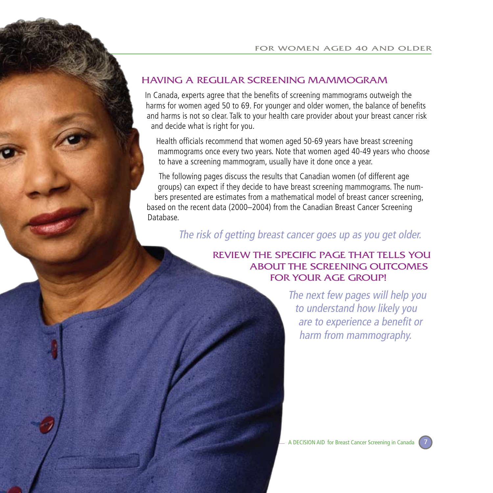#### having a regular screening mammogram

In Canada, experts agree that the benefits of screening mammograms outweigh the harms for women aged 50 to 69. For younger and older women, the balance of benefits and harms is not so clear. Talk to your health care provider about your breast cancer risk and decide what is right for you.

Health officials recommend that women aged 50-69 years have breast screening mammograms once every two years. Note that women aged 40-49 years who choose to have a screening mammogram, usually have it done once a year.

The following pages discuss the results that Canadian women (of different age groups) can expect if they decide to have breast screening mammograms. The numbers presented are estimates from a mathematical model of breast cancer screening, based on the recent data (2000–2004) from the Canadian Breast Cancer Screening Database.

The risk of getting breast cancer goes up as you get older.

#### REVIEW the specific page that tells you about the screening outcomeS FOR YOUR AGE GROUP!

The next few pages will help you to understand how likely you are to experience a benefit or harm from mammography.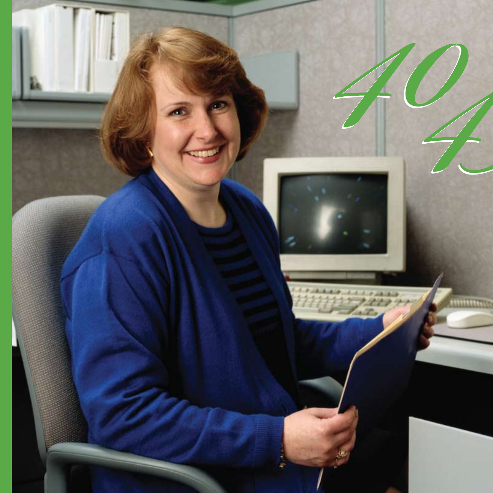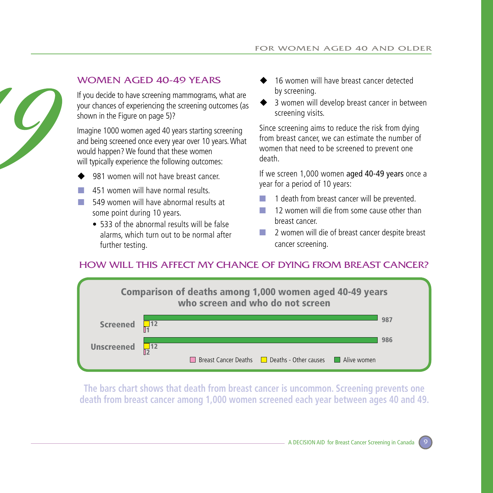

#### Women aged 40-49 years

If you decide to have screening mammograms, what are your chances of experiencing the screening outcomes (as shown in the Figure on page 5)?

Imagine 1000 women aged 40 years starting screening and being screened once every year over 10 years. What would happen? We found that these women will typically experience the following outcomes:

- 981 women will not have breast cancer.
- 451 women will have normal results.
- 549 women will have abnormal results at some point during 10 years.
	- 533 of the abnormal results will be false alarms, which turn out to be normal after further testing.
- 16 women will have breast cancer detected by screening.
- 3 women will develop breast cancer in between screening visits.

Since screening aims to reduce the risk from dying from breast cancer, we can estimate the number of women that need to be screened to prevent one death.

If we screen 1,000 women aged 40-49 years once a year for a period of 10 years:

- 1 death from breast cancer will be prevented.
- 12 women will die from some cause other than breast cancer.
- 2 women will die of breast cancer despite breast cancer screening.

### How will this affect my chance of dying from breast cancer?



**The bars chart shows that death from breast cancer is uncommon. Screening prevents one death from breast cancer among 1,000 women screened each year between ages 40 and 49.**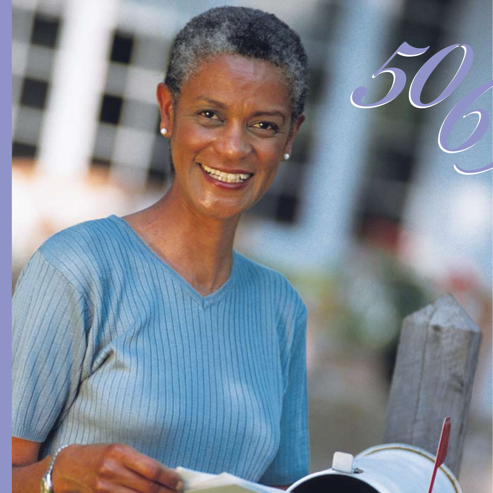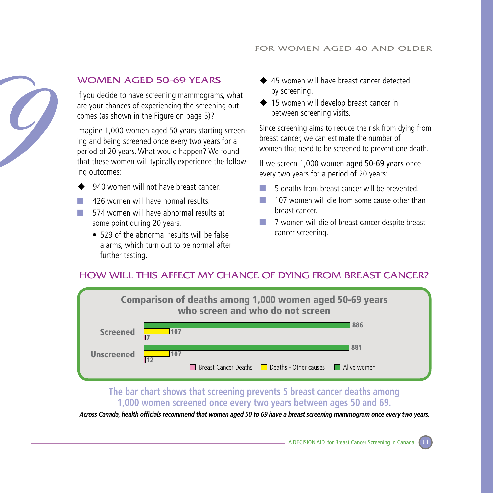

#### Women aged 50-69 years

If you decide to have screening mammograms, what are your chances of experiencing the screening outcomes (as shown in the Figure on page 5)?

Imagine 1,000 women aged 50 years starting screening and being screened once every two years for a period of 20 years. What would happen? We found that these women will typically experience the following outcomes:

- 940 women will not have breast cancer.
- 426 women will have normal results.
- 574 women will have abnormal results at some point during 20 years.
	- 529 of the abnormal results will be false alarms, which turn out to be normal after further testing.
- ◆ 45 women will have breast cancer detected by screening.
- ◆ 15 women will develop breast cancer in between screening visits.

Since screening aims to reduce the risk from dying from breast cancer, we can estimate the number of women that need to be screened to prevent one death.

If we screen 1,000 women aged 50-69 years once every two years for a period of 20 years:

- 5 deaths from breast cancer will be prevented.
- 107 women will die from some cause other than breast cancer.
- 7 women will die of breast cancer despite breast cancer screening.

#### How will this affect my chance of dying from breast cancer?



#### **The bar chart shows that screening prevents 5 breast cancer deaths among 1,000 women screened once every two years between ages 50 and 69.**

**Across Canada, health officials recommend that women aged 50 to 69 have a breast screening mammogram once every two years.**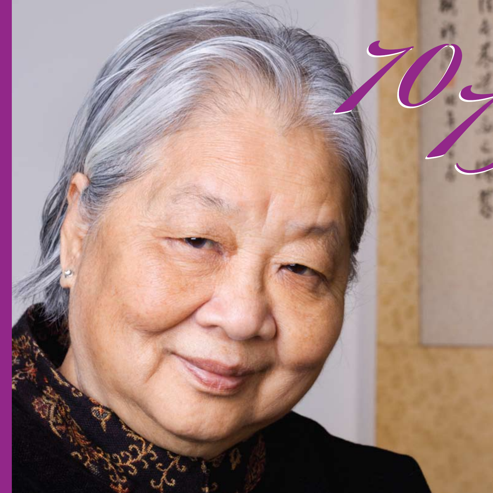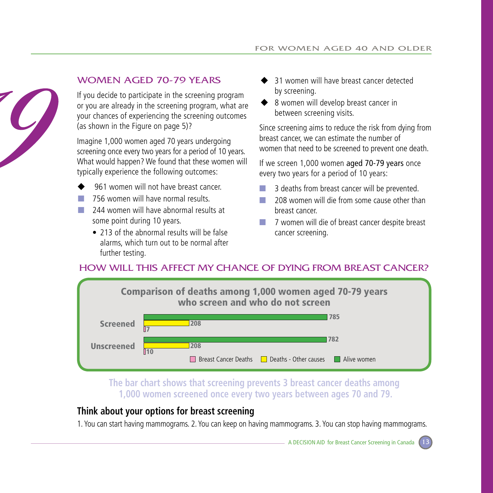

#### Women aged 70-79 years

If you decide to participate in the screening program or you are already in the screening program, what are your chances of experiencing the screening outcomes (as shown in the Figure on page 5)?

Imagine 1,000 women aged 70 years undergoing screening once every two years for a period of 10 years. What would happen? We found that these women will typically experience the following outcomes:

- 961 women will not have breast cancer.
- 756 women will have normal results.
- 244 women will have abnormal results at some point during 10 years.
	- 213 of the abnormal results will be false alarms, which turn out to be normal after further testing.
- 31 women will have breast cancer detected by screening.
- ◆ 8 women will develop breast cancer in between screening visits.

Since screening aims to reduce the risk from dying from breast cancer, we can estimate the number of women that need to be screened to prevent one death.

If we screen 1,000 women aged 70-79 years once every two years for a period of 10 years:

- 3 deaths from breast cancer will be prevented.
- 208 women will die from some cause other than breast cancer.
- 7 women will die of breast cancer despite breast cancer screening.

### How will this affect my chance of dying from breast cancer?



**The bar chart shows that screening prevents 3 breast cancer deaths among 1,000 women screened once every two years between ages 70 and 79.**

#### **Think about your options for breast screening**

1. You can start having mammograms. 2. You can keep on having mammograms. 3. You can stop having mammograms.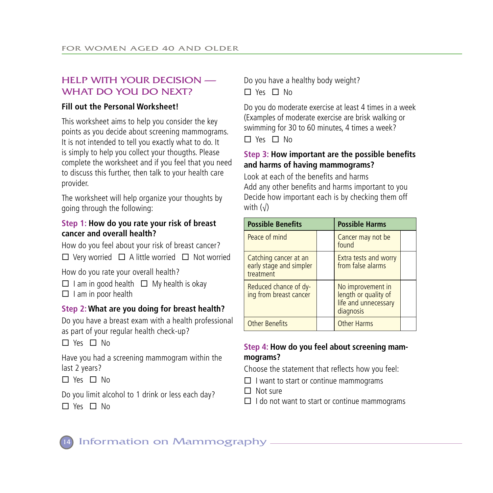#### help with your decision — WHAT DO YOU DO NEXT?

#### **Fill out the Personal Worksheet!**

This worksheet aims to help you consider the key points as you decide about screening mammograms. It is not intended to tell you exactly what to do. It is simply to help you collect your thougths. Please complete the worksheet and if you feel that you need to discuss this further, then talk to your health care provider.

The worksheet will help organize your thoughts by going through the following:

#### **Step 1: How do you rate your risk of breast cancer and overall health?**

How do you feel about your risk of breast cancer?  $\Box$  Very worried  $\Box$  A little worried  $\Box$  Not worried

How do you rate your overall health?

- $\Box$  I am in good health  $\Box$  My health is okay
- $\Box$  I am in poor health

#### **Step 2: What are you doing for breast health?**

Do you have a breast exam with a health professional as part of your regular health check-up?

 $\Box$  Yes  $\Box$  No

Have you had a screening mammogram within the last 2 years?

 $\Box$  Yes  $\Box$  No

Do you limit alcohol to 1 drink or less each day?

 $\Box$  Yes  $\Box$  No

Do you have a healthy body weight?  $\Box$  Yes  $\Box$  No.

Do you do moderate exercise at least 4 times in a week (Examples of moderate exercise are brisk walking or swimming for 30 to 60 minutes, 4 times a week?  $\Box$  Yes  $\Box$  No

#### **Step 3: How important are the possible benefits and harms of having mammograms?**

Look at each of the benefits and harms Add any other benefits and harms important to you Decide how important each is by checking them off with  $(\sqrt{)}$ 

| <b>Possible Benefits</b>                                      |  | <b>Possible Harms</b>                                                          |  |
|---------------------------------------------------------------|--|--------------------------------------------------------------------------------|--|
| Peace of mind                                                 |  | Cancer may not be<br>found                                                     |  |
| Catching cancer at an<br>early stage and simpler<br>treatment |  | <b>Extra tests and worry</b><br>from false alarms                              |  |
| Reduced chance of dy-<br>ing from breast cancer               |  | No improvement in<br>length or quality of<br>life and unnecessary<br>diagnosis |  |
| <b>Other Benefits</b>                                         |  | <b>Other Harms</b>                                                             |  |

#### **Step 4: How do you feel about screening mammograms?**

Choose the statement that reflects how you feel:

 $\Box$  I want to start or continue mammograms

 $\Box$  Not sure

 $\Box$  I do not want to start or continue mammograms

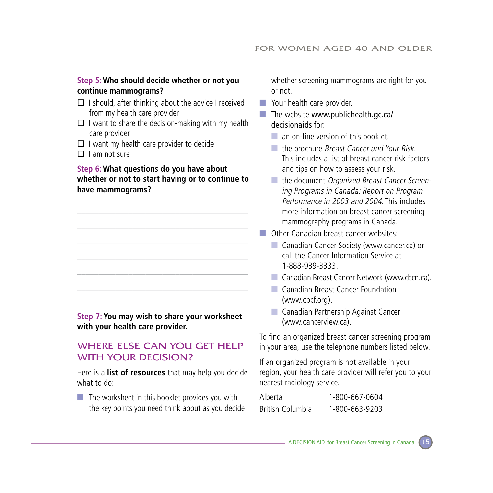#### **Step 5: Who should decide whether or not you continue mammograms?**

- $\square$  I should, after thinking about the advice I received from my health care provider
- $\Box$  I want to share the decision-making with my health care provider
- $\Box$  I want my health care provider to decide
- $\Box$  I am not sure

#### **Step 6: What questions do you have about whether or not to start having or to continue to have mammograms?**

#### **Step 7: You may wish to share your worksheet with your health care provider.**

#### Where else can you get help WITH YOUR DECISION?

Here is a **list of resources** that may help you decide what to do:

 $\blacksquare$  The worksheet in this booklet provides you with the key points you need think about as you decide whether screening mammograms are right for you or not.

- Your health care provider.
- $\blacksquare$  The website www.publichealth.gc.ca/ decisionaids for:
	- an on-line version of this booklet.
	- the brochure *Breast Cancer and Your Risk*. This includes a list of breast cancer risk factors and tips on how to assess your risk.
	- the document Organized Breast Cancer Screen ing Programs in Canada: Report on Program Performance in 2003 and 2004. This includes more information on breast cancer screening mammography programs in Canada.
- Other Canadian breast cancer websites:
	- Canadian Cancer Society (www.cancer.ca) or call the Cancer Information Service at 1-888-939-3333.
	- Canadian Breast Cancer Network (www.cbcn.ca).
	- Canadian Breast Cancer Foundation (www.cbcf.org).
	- Canadian Partnership Against Cancer (www.cancerview.ca).

To find an organized breast cancer screening program in your area, use the telephone numbers listed below.

If an organized program is not available in your region, your health care provider will refer you to your nearest radiology service.

| Alberta          | 1-800-667-0604 |  |
|------------------|----------------|--|
| British Columbia | 1-800-663-9203 |  |

**A DECISION AID for Breast Cancer Screening in Canada**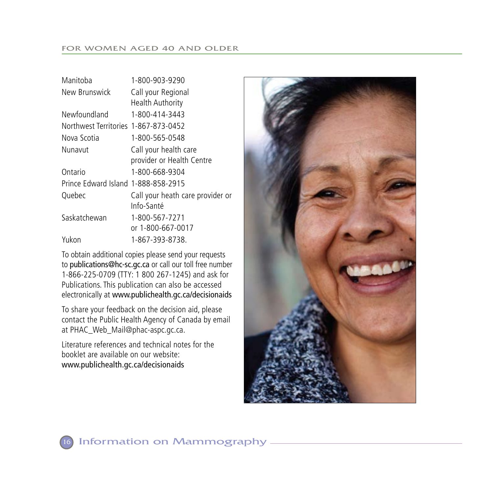| Manitoba                             | 1-800-903-9290                   |
|--------------------------------------|----------------------------------|
| New Brunswick                        | Call your Regional               |
|                                      | <b>Health Authority</b>          |
| Newfoundland                         | 1-800-414-3443                   |
| Northwest Territories 1-867-873-0452 |                                  |
| Nova Scotia                          | 1-800-565-0548                   |
| Nunavut                              | Call your health care            |
|                                      | provider or Health Centre        |
| Ontario                              | 1-800-668-9304                   |
| Prince Edward Island 1-888-858-2915  |                                  |
| Quebec                               | Call your heath care provider or |
|                                      | Info-Santé                       |
| Saskatchewan                         | 1-800-567-7271                   |
|                                      | or 1-800-667-0017                |
| Yukon                                | 1-867-393-8738.                  |
|                                      |                                  |

To obtain additional copies please send your requests to publications@hc-sc.gc.ca or call our toll free number 1-866-225-0709 (TTY: 1 800 267-1245) and ask for Publications. This publication can also be accessed electronically at www.publichealth.gc.ca/decisionaids

To share your feedback on the decision aid, please contact the Public Health Agency of Canada by email at PHAC\_Web\_Mail@phac-aspc.gc.ca.

Literature references and technical notes for the booklet are available on our website: www.publichealth.gc.ca/decisionaids

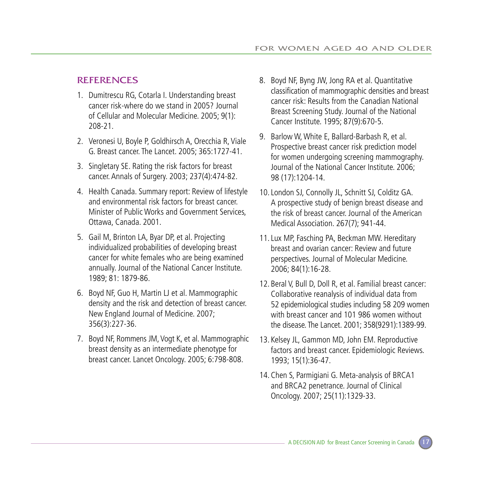#### **REFERENCES**

- 1. Dumitrescu RG, Cotarla I. Understanding breast cancer risk-where do we stand in 2005? Journal of Cellular and Molecular Medicine. 2005; 9(1): 208-21.
- 2. Veronesi U, Boyle P, Goldhirsch A, Orecchia R, Viale G. Breast cancer. The Lancet. 2005; 365:1727-41.
- 3. Singletary SE. Rating the risk factors for breast cancer. Annals of Surgery. 2003; 237(4):474-82.
- 4. Health Canada. Summary report: Review of lifestyle and environmental risk factors for breast cancer. Minister of Public Works and Government Services, Ottawa, Canada. 2001.
- 5. Gail M, Brinton LA, Byar DP, et al. Projecting individualized probabilities of developing breast cancer for white females who are being examined annually. Journal of the National Cancer Institute. 1989; 81: 1879-86.
- 6. Boyd NF, Guo H, Martin LJ et al. Mammographic density and the risk and detection of breast cancer. New England Journal of Medicine. 2007; 356(3):227-36.
- 7. Boyd NF, Rommens JM, Vogt K, et al. Mammographic breast density as an intermediate phenotype for breast cancer. Lancet Oncology. 2005; 6:798-808.
- 8. Boyd NF, Byng JW, Jong RA et al. Quantitative classification of mammographic densities and breast cancer risk: Results from the Canadian National Breast Screening Study. Journal of the National Cancer Institute. 1995; 87(9):670-5.
- 9. Barlow W, White E, Ballard-Barbash R, et al. Prospective breast cancer risk prediction model for women undergoing screening mammography. Journal of the National Cancer Institute. 2006; 98 (17):1204-14.
- 10.London SJ, Connolly JL, Schnitt SJ, Colditz GA. A prospective study of benign breast disease and the risk of breast cancer. Journal of the American Medical Association. 267(7); 941-44.
- 11.Lux MP, Fasching PA, Beckman MW. Hereditary breast and ovarian cancer: Review and future perspectives. Journal of Molecular Medicine. 2006; 84(1):16-28.
- 12. Beral V, Bull D, Doll R, et al. Familial breast cancer: Collaborative reanalysis of individual data from 52 epidemiological studies including 58 209 women with breast cancer and 101 986 women without the disease. The Lancet. 2001; 358(9291):1389-99.
- 13. Kelsey JL, Gammon MD, John EM. Reproductive factors and breast cancer. Epidemiologic Reviews. 1993; 15(1):36-47.
- 14. Chen S, Parmigiani G. Meta-analysis of BRCA1 and BRCA2 penetrance. Journal of Clinical Oncology. 2007; 25(11):1329-33.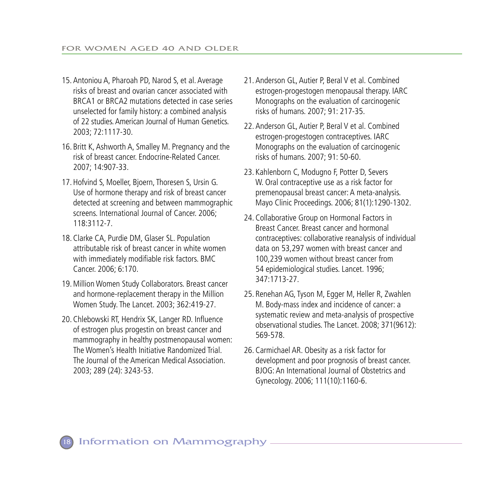- 15. Antoniou A, Pharoah PD, Narod S, et al. Average risks of breast and ovarian cancer associated with BRCA1 or BRCA2 mutations detected in case series unselected for family history: a combined analysis of 22 studies. American Journal of Human Genetics. 2003; 72:1117-30.
- 16. Britt K, Ashworth A, Smalley M. Pregnancy and the risk of breast cancer. Endocrine-Related Cancer. 2007; 14:907-33.
- 17. Hofvind S, Moeller, Bjoern, Thoresen S, Ursin G. Use of hormone therapy and risk of breast cancer detected at screening and between mammographic screens. International Journal of Cancer. 2006; 118:3112-7.
- 18. Clarke CA, Purdie DM, Glaser SL. Population attributable risk of breast cancer in white women with immediately modifiable risk factors. BMC Cancer. 2006; 6:170.
- 19. Million Women Study Collaborators. Breast cancer and hormone-replacement therapy in the Million Women Study. The Lancet. 2003; 362:419-27.
- 20. Chlebowski RT, Hendrix SK, Langer RD. Influence of estrogen plus progestin on breast cancer and mammography in healthy postmenopausal women: The Women's Health Initiative Randomized Trial. The Journal of the American Medical Association. 2003; 289 (24): 3243-53.
- 21. Anderson GL, Autier P, Beral V et al. Combined estrogen-progestogen menopausal therapy. IARC Monographs on the evaluation of carcinogenic risks of humans. 2007; 91: 217-35.
- 22. Anderson GL, Autier P, Beral V et al. Combined estrogen-progestogen contraceptives. IARC Monographs on the evaluation of carcinogenic risks of humans. 2007; 91: 50-60.
- 23. Kahlenborn C, Modugno F, Potter D, Severs W. Oral contraceptive use as a risk factor for premenopausal breast cancer: A meta-analysis. Mayo Clinic Proceedings. 2006; 81(1):1290-1302.
- 24. Collaborative Group on Hormonal Factors in Breast Cancer. Breast cancer and hormonal contraceptives: collaborative reanalysis of individual data on 53,297 women with breast cancer and 100,239 women without breast cancer from 54 epidemiological studies. Lancet. 1996; 347:1713-27.
- 25. Renehan AG, Tyson M, Egger M, Heller R, Zwahlen M. Body-mass index and incidence of cancer: a systematic review and meta-analysis of prospective observational studies. The Lancet. 2008; 371(9612): 569-578.
- 26. Carmichael AR. Obesity as a risk factor for development and poor prognosis of breast cancer. BJOG: An International Journal of Obstetrics and Gynecology. 2006; 111(10):1160-6.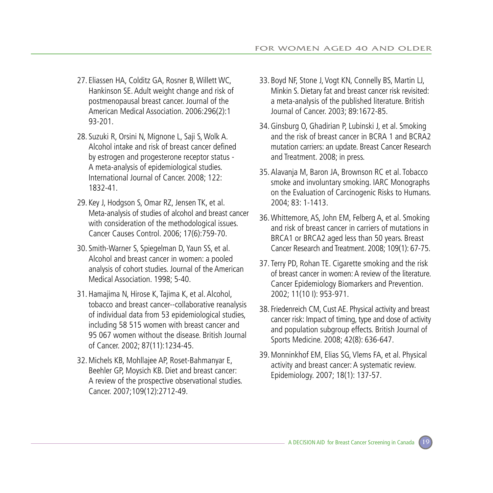- 27. Eliassen HA, Colditz GA, Rosner B, Willett WC, Hankinson SE. Adult weight change and risk of postmenopausal breast cancer. Journal of the American Medical Association. 2006:296(2):1 93-201.
- 28. Suzuki R, Orsini N, Mignone L, Saji S, Wolk A. Alcohol intake and risk of breast cancer defined by estrogen and progesterone receptor status - A meta-analysis of epidemiological studies. International Journal of Cancer. 2008; 122: 1832-41.
- 29. Key J, Hodgson S, Omar RZ, Jensen TK, et al. Meta-analysis of studies of alcohol and breast cancer with consideration of the methodological issues. Cancer Causes Control. 2006; 17(6):759-70.
- 30. Smith-Warner S, Spiegelman D, Yaun SS, et al. Alcohol and breast cancer in women: a pooled analysis of cohort studies. Journal of the American Medical Association. 1998; 5-40.
- 31. Hamajima N, Hirose K, Tajima K, et al. Alcohol, tobacco and breast cancer--collaborative reanalysis of individual data from 53 epidemiological studies, including 58 515 women with breast cancer and 95 067 women without the disease. British Journal of Cancer. 2002; 87(11):1234-45.
- 32. Michels KB, Mohllajee AP, Roset-Bahmanyar E, Beehler GP, Moysich KB. Diet and breast cancer: A review of the prospective observational studies. Cancer. 2007;109(12):2712-49.
- 33. Boyd NF, Stone J, Vogt KN, Connelly BS, Martin LJ, Minkin S. Dietary fat and breast cancer risk revisited: a meta-analysis of the published literature. British Journal of Cancer. 2003; 89:1672-85.
- 34. Ginsburg O, Ghadirian P, Lubinski J, et al. Smoking and the risk of breast cancer in BCRA 1 and BCRA2 mutation carriers: an update. Breast Cancer Research and Treatment. 2008; in press.
- 35. Alavanja M, Baron JA, Brownson RC et al. Tobacco smoke and involuntary smoking. IARC Monographs on the Evaluation of Carcinogenic Risks to Humans. 2004; 83: 1-1413.
- 36.Whittemore, AS, John EM, Felberg A, et al. Smoking and risk of breast cancer in carriers of mutations in BRCA1 or BRCA2 aged less than 50 years. Breast Cancer Research and Treatment. 2008; 109(1): 67-75.
- 37. Terry PD, Rohan TE. Cigarette smoking and the risk of breast cancer in women: A review of the literature. Cancer Epidemiology Biomarkers and Prevention. 2002; 11(10 I): 953-971.
- 38. Friedenreich CM, Cust AE. Physical activity and breast cancer risk: Impact of timing, type and dose of activity and population subgroup effects. British Journal of Sports Medicine. 2008; 42(8): 636-647.
- 39. Monninkhof EM, Elias SG, Vlems FA, et al. Physical activity and breast cancer: A systematic review. Epidemiology. 2007; 18(1): 137-57.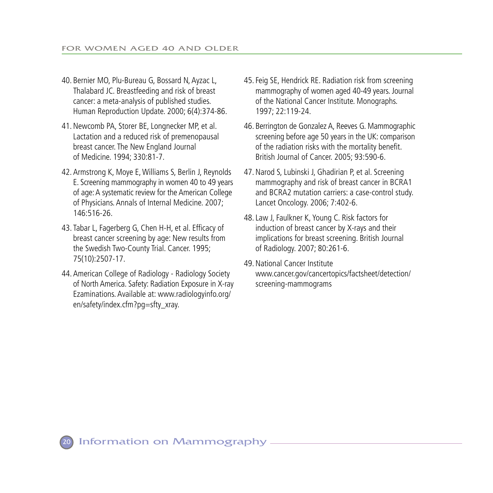- 40. Bernier MO, Plu-Bureau G, Bossard N, Ayzac L, Thalabard JC. Breastfeeding and risk of breast cancer: a meta-analysis of published studies. Human Reproduction Update. 2000; 6(4):374-86.
- 41. Newcomb PA, Storer BE, Longnecker MP, et al. Lactation and a reduced risk of premenopausal breast cancer. The New England Journal of Medicine. 1994; 330:81-7.
- 42. Armstrong K, Moye E, Williams S, Berlin J, Reynolds E. Screening mammography in women 40 to 49 years of age: A systematic review for the American College of Physicians. Annals of Internal Medicine. 2007; 146:516-26.
- 43. Tabar L, Fagerberg G, Chen H-H, et al. Efficacy of breast cancer screening by age: New results from the Swedish Two-County Trial. Cancer. 1995; 75(10):2507-17.
- 44. American College of Radiology Radiology Society of North America. Safety: Radiation Exposure in X-ray Ezaminations. Available at: www.radiologyinfo.org/ en/safety/index.cfm?pg=sfty\_xray.
- 45. Feig SE, Hendrick RE. Radiation risk from screening mammography of women aged 40-49 years. Journal of the National Cancer Institute. Monographs. 1997; 22:119-24.
- 46. Berrington de Gonzalez A, Reeves G. Mammographic screening before age 50 years in the UK: comparison of the radiation risks with the mortality benefit. British Journal of Cancer. 2005; 93:590-6.
- 47. Narod S, Lubinski J, Ghadirian P, et al. Screening mammography and risk of breast cancer in BCRA1 and BCRA2 mutation carriers: a case-control study. Lancet Oncology. 2006; 7:402-6.
- 48.Law J, Faulkner K, Young C. Risk factors for induction of breast cancer by X-rays and their implications for breast screening. British Journal of Radiology. 2007; 80:261-6.
- 49. National Cancer Institute www.cancer.gov/cancertopics/factsheet/detection/ screening-mammograms

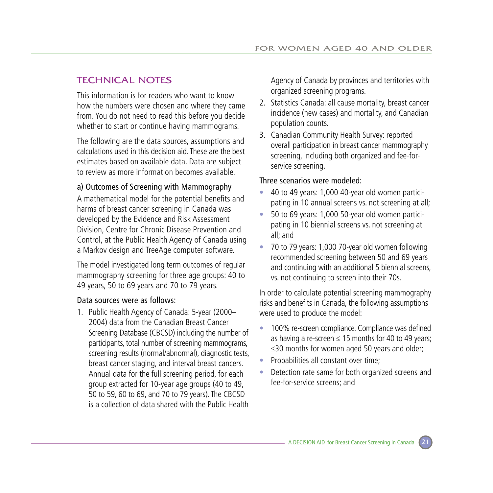#### Technical Notes

This information is for readers who want to know how the numbers were chosen and where they came from. You do not need to read this before you decide whether to start or continue having mammograms.

The following are the data sources, assumptions and calculations used in this decision aid. These are the best estimates based on available data. Data are subject to review as more information becomes available.

#### a) Outcomes of Screening with Mammography

A mathematical model for the potential benefits and harms of breast cancer screening in Canada was developed by the Evidence and Risk Assessment Division, Centre for Chronic Disease Prevention and Control, at the Public Health Agency of Canada using a Markov design and TreeAge computer software.

The model investigated long term outcomes of regular mammography screening for three age groups: 40 to 49 years, 50 to 69 years and 70 to 79 years.

#### Data sources were as follows:

1. Public Health Agency of Canada: 5-year (2000– 2004) data from the Canadian Breast Cancer Screening Database (CBCSD) including the number of participants, total number of screening mammograms, screening results (normal/abnormal), diagnostic tests, breast cancer staging, and interval breast cancers. Annual data for the full screening period, for each group extracted for 10-year age groups (40 to 49, 50 to 59, 60 to 69, and 70 to 79 years). The CBCSD is a collection of data shared with the Public Health Agency of Canada by provinces and territories with organized screening programs.

- 2. Statistics Canada: all cause mortality, breast cancer incidence (new cases) and mortality, and Canadian population counts.
- 3. Canadian Community Health Survey: reported overall participation in breast cancer mammography screening, including both organized and fee-forservice screening.

#### Three scenarios were modeled:

- 40 to 49 years: 1,000 40-year old women participating in 10 annual screens vs. not screening at all;
- 50 to 69 years: 1,000 50-year old women participating in 10 biennial screens vs. not screening at all; and
- 70 to 79 years: 1,000 70-year old women following recommended screening between 50 and 69 years and continuing with an additional 5 biennial screens, vs. not continuing to screen into their 70s.

In order to calculate potential screening mammography risks and benefits in Canada, the following assumptions were used to produce the model:

- 100% re-screen compliance. Compliance was defined as having a re-screen  $\leq$  15 months for 40 to 49 years; ≤30 months for women aged 50 years and older;
- Probabilities all constant over time;
- Detection rate same for both organized screens and fee-for-service screens; and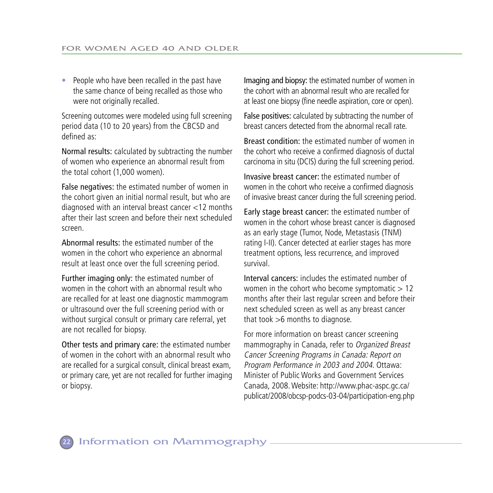• People who have been recalled in the past have the same chance of being recalled as those who were not originally recalled.

Screening outcomes were modeled using full screening period data (10 to 20 years) from the CBCSD and defined as:

Normal results: calculated by subtracting the number of women who experience an abnormal result from the total cohort (1,000 women).

False negatives: the estimated number of women in the cohort given an initial normal result, but who are diagnosed with an interval breast cancer <12 months after their last screen and before their next scheduled screen.

Abnormal results: the estimated number of the women in the cohort who experience an abnormal result at least once over the full screening period.

Further imaging only: the estimated number of women in the cohort with an abnormal result who are recalled for at least one diagnostic mammogram or ultrasound over the full screening period with or without surgical consult or primary care referral, yet are not recalled for biopsy.

Other tests and primary care: the estimated number of women in the cohort with an abnormal result who are recalled for a surgical consult, clinical breast exam, or primary care, yet are not recalled for further imaging or biopsy.

Imaging and biopsy: the estimated number of women in the cohort with an abnormal result who are recalled for at least one biopsy (fine needle aspiration, core or open).

False positives: calculated by subtracting the number of breast cancers detected from the abnormal recall rate.

Breast condition: the estimated number of women in the cohort who receive a confirmed diagnosis of ductal carcinoma in situ (DCIS) during the full screening period.

Invasive breast cancer: the estimated number of women in the cohort who receive a confirmed diagnosis of invasive breast cancer during the full screening period.

Early stage breast cancer: the estimated number of women in the cohort whose breast cancer is diagnosed as an early stage (Tumor, Node, Metastasis (TNM) rating I-II). Cancer detected at earlier stages has more treatment options, less recurrence, and improved survival.

Interval cancers: includes the estimated number of women in the cohort who become symptomatic  $> 12$ months after their last regular screen and before their next scheduled screen as well as any breast cancer that took >6 months to diagnose.

For more information on breast cancer screening mammography in Canada, refer to Organized Breast Cancer Screening Programs in Canada: Report on Program Performance in 2003 and 2004. Ottawa: Minister of Public Works and Government Services Canada, 2008. Website: http://www.phac-aspc.gc.ca/ publicat/2008/obcsp-podcs-03-04/participation-eng.php

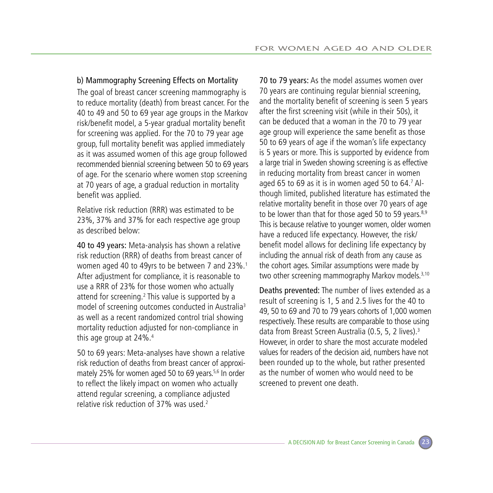#### b) Mammography Screening Effects on Mortality

The goal of breast cancer screening mammography is to reduce mortality (death) from breast cancer. For the 40 to 49 and 50 to 69 year age groups in the Markov risk/benefit model, a 5-year gradual mortality benefit for screening was applied. For the 70 to 79 year age group, full mortality benefit was applied immediately as it was assumed women of this age group followed recommended biennial screening between 50 to 69 years of age. For the scenario where women stop screening at 70 years of age, a gradual reduction in mortality benefit was applied.

Relative risk reduction (RRR) was estimated to be 23%, 37% and 37% for each respective age group as described below:

40 to 49 years: Meta-analysis has shown a relative risk reduction (RRR) of deaths from breast cancer of women aged 40 to 49yrs to be between 7 and 23%.<sup>1</sup> After adjustment for compliance, it is reasonable to use a RRR of 23% for those women who actually attend for screening.<sup>2</sup> This value is supported by a model of screening outcomes conducted in Australia<sup>3</sup> as well as a recent randomized control trial showing mortality reduction adjusted for non-compliance in this age group at 24%.4

50 to 69 years: Meta-analyses have shown a relative risk reduction of deaths from breast cancer of approximately 25% for women aged 50 to 69 years.<sup>5,6</sup> In order to reflect the likely impact on women who actually attend regular screening, a compliance adjusted relative risk reduction of 37% was used.2

70 to 79 years: As the model assumes women over 70 years are continuing regular biennial screening, and the mortality benefit of screening is seen 5 years after the first screening visit (while in their 50s), it can be deduced that a woman in the 70 to 79 year age group will experience the same benefit as those 50 to 69 years of age if the woman's life expectancy is 5 years or more. This is supported by evidence from a large trial in Sweden showing screening is as effective in reducing mortality from breast cancer in women aged 65 to 69 as it is in women aged 50 to 64. $<sup>7</sup>$  Al-</sup> though limited, published literature has estimated the relative mortality benefit in those over 70 years of age to be lower than that for those aged 50 to 59 years. $8.9$ This is because relative to younger women, older women have a reduced life expectancy. However, the risk/ benefit model allows for declining life expectancy by including the annual risk of death from any cause as the cohort ages. Similar assumptions were made by two other screening mammography Markov models.<sup>3,10</sup>

Deaths prevented: The number of lives extended as a result of screening is 1, 5 and 2.5 lives for the 40 to 49, 50 to 69 and 70 to 79 years cohorts of 1,000 women respectively. These results are comparable to those using data from Breast Screen Australia (0.5, 5, 2 lives).3 However, in order to share the most accurate modeled values for readers of the decision aid, numbers have not been rounded up to the whole, but rather presented as the number of women who would need to be screened to prevent one death.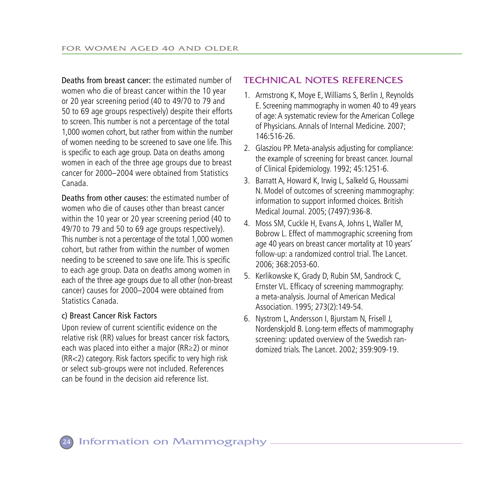Deaths from breast cancer: the estimated number of women who die of breast cancer within the 10 year or 20 year screening period (40 to 49/70 to 79 and 50 to 69 age groups respectively) despite their efforts to screen. This number is not a percentage of the total 1,000 women cohort, but rather from within the number of women needing to be screened to save one life. This is specific to each age group. Data on deaths among women in each of the three age groups due to breast cancer for 2000–2004 were obtained from Statistics Canada.

Deaths from other causes: the estimated number of women who die of causes other than breast cancer within the 10 year or 20 year screening period (40 to 49/70 to 79 and 50 to 69 age groups respectively). This number is not a percentage of the total 1,000 women cohort, but rather from within the number of women needing to be screened to save one life. This is specific to each age group. Data on deaths among women in each of the three age groups due to all other (non-breast cancer) causes for 2000–2004 were obtained from Statistics Canada.

#### c) Breast Cancer Risk Factors

Upon review of current scientific evidence on the relative risk (RR) values for breast cancer risk factors, each was placed into either a major (RR≥2) or minor (RR<2) category. Risk factors specific to very high risk or select sub-groups were not included. References can be found in the decision aid reference list.

#### Technical Notes References

- 1. Armstrong K, Moye E, Williams S, Berlin J, Reynolds E. Screening mammography in women 40 to 49 years of age: A systematic review for the American College of Physicians. Annals of Internal Medicine. 2007; 146:516-26.
- 2. Glasziou PP. Meta-analysis adjusting for compliance: the example of screening for breast cancer. Journal of Clinical Epidemiology. 1992; 45:1251-6.
- 3. Barratt A, Howard K, Irwig L, Salkeld G, Houssami N. Model of outcomes of screening mammography: information to support informed choices. British Medical Journal. 2005; (7497):936-8.
- 4. Moss SM, Cuckle H, Evans A, Johns L, Waller M, Bobrow L. Effect of mammographic screening from age 40 years on breast cancer mortality at 10 years' follow-up: a randomized control trial. The Lancet. 2006; 368:2053-60.
- 5. Kerlikowske K, Grady D, Rubin SM, Sandrock C, Ernster VL. Efficacy of screening mammography: a meta-analysis. Journal of American Medical Association. 1995; 273(2):149-54.
- 6. Nystrom L, Andersson I, Bjurstam N, Frisell J, Nordenskjold B. Long-term effects of mammography screening: updated overview of the Swedish randomized trials. The Lancet. 2002; 359:909-19.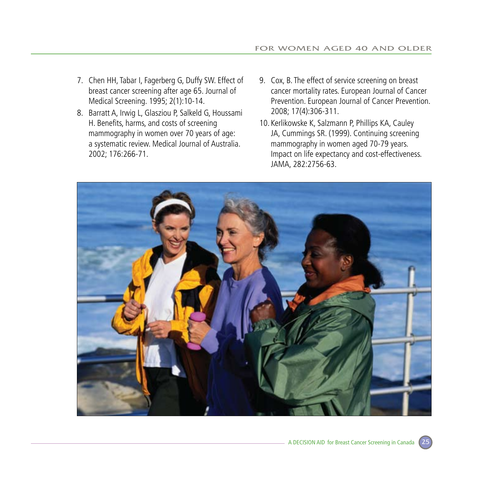- 7. Chen HH, Tabar I, Fagerberg G, Duffy SW. Effect of breast cancer screening after age 65. Journal of Medical Screening. 1995; 2(1):10-14.
- 8. Barratt A, Irwig L, Glasziou P, Salkeld G, Houssami H. Benefits, harms, and costs of screening mammography in women over 70 years of age: a systematic review. Medical Journal of Australia. 2002; 176:266-71.
- 9. Cox, B. The effect of service screening on breast cancer mortality rates. European Journal of Cancer Prevention. European Journal of Cancer Prevention. 2008; 17(4):306-311.
- 10. Kerlikowske K, Salzmann P, Phillips KA, Cauley JA, Cummings SR. (1999). Continuing screening mammography in women aged 70-79 years. Impact on life expectancy and cost-effectiveness. JAMA, 282:2756-63.